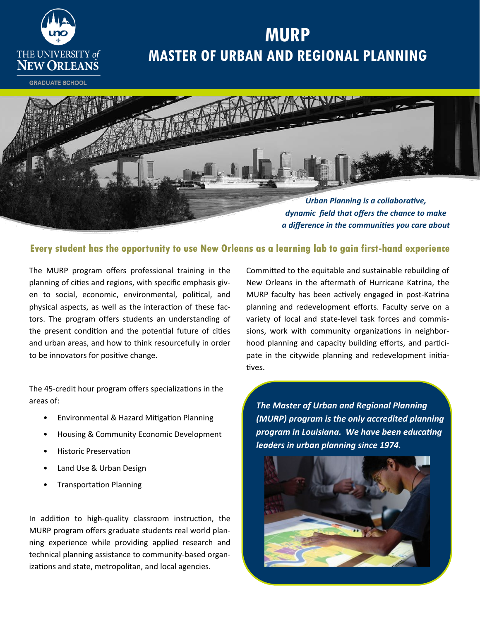

# **MURP MASTER OF URBAN AND REGIONAL PLANNING**

**GRADUATE SCHOOL** 



#### **Every student has the opportunity to use New Orleans as a learning lab to gain first-hand experience**

The MURP program offers professional training in the planning of cities and regions, with specific emphasis given to social, economic, environmental, political, and physical aspects, as well as the interaction of these factors. The program offers students an understanding of the present condition and the potential future of cities and urban areas, and how to think resourcefully in order to be innovators for positive change.

The 45-credit hour program offers specializations in the areas of:

- Environmental & Hazard Mitigation Planning
- Housing & Community Economic Development
- Historic Preservation
- Land Use & Urban Design
- Transportation Planning

In addition to high-quality classroom instruction, the MURP program offers graduate students real world planning experience while providing applied research and technical planning assistance to community-based organizations and state, metropolitan, and local agencies.

Committed to the equitable and sustainable rebuilding of New Orleans in the aftermath of Hurricane Katrina, the MURP faculty has been actively engaged in post-Katrina planning and redevelopment efforts. Faculty serve on a variety of local and state-level task forces and commissions, work with community organizations in neighborhood planning and capacity building efforts, and participate in the citywide planning and redevelopment initiatives.

*The Master of Urban and Regional Planning (MURP) program is the only accredited planning program in Louisiana. We have been educating leaders in urban planning since 1974.*